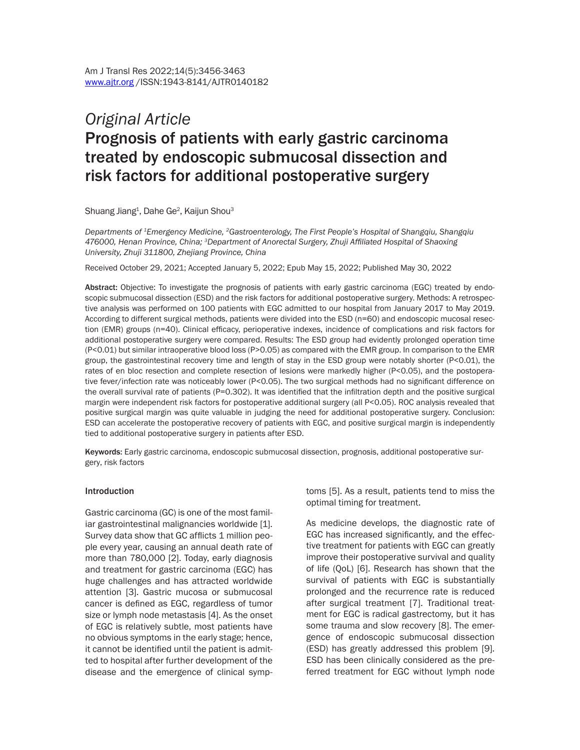# *Original Article* Prognosis of patients with early gastric carcinoma treated by endoscopic submucosal dissection and risk factors for additional postoperative surgery

Shuang Jiang $^{\rm 1}$ , Dahe Ge $^{\rm 2}$ , Kaijun Shou $^{\rm 3}$ 

*Departments of 1Emergency Medicine, 2Gastroenterology, The First People's Hospital of Shangqiu, Shangqiu 476000, Henan Province, China; 3Department of Anorectal Surgery, Zhuji Affiliated Hospital of Shaoxing University, Zhuji 311800, Zhejiang Province, China*

Received October 29, 2021; Accepted January 5, 2022; Epub May 15, 2022; Published May 30, 2022

Abstract: Objective: To investigate the prognosis of patients with early gastric carcinoma (EGC) treated by endoscopic submucosal dissection (ESD) and the risk factors for additional postoperative surgery. Methods: A retrospective analysis was performed on 100 patients with EGC admitted to our hospital from January 2017 to May 2019. According to different surgical methods, patients were divided into the ESD (n=60) and endoscopic mucosal resection (EMR) groups (n=40). Clinical efficacy, perioperative indexes, incidence of complications and risk factors for additional postoperative surgery were compared. Results: The ESD group had evidently prolonged operation time (P<0.01) but similar intraoperative blood loss (P>0.05) as compared with the EMR group. In comparison to the EMR group, the gastrointestinal recovery time and length of stay in the ESD group were notably shorter (P<0.01), the rates of en bloc resection and complete resection of lesions were markedly higher (P<0.05), and the postoperative fever/infection rate was noticeably lower (P<0.05). The two surgical methods had no significant difference on the overall survival rate of patients (P=0.302). It was identified that the infiltration depth and the positive surgical margin were independent risk factors for postoperative additional surgery (all P<0.05). ROC analysis revealed that positive surgical margin was quite valuable in judging the need for additional postoperative surgery. Conclusion: ESD can accelerate the postoperative recovery of patients with EGC, and positive surgical margin is independently tied to additional postoperative surgery in patients after ESD.

Keywords: Early gastric carcinoma, endoscopic submucosal dissection, prognosis, additional postoperative surgery, risk factors

#### Introduction

Gastric carcinoma (GC) is one of the most familiar gastrointestinal malignancies worldwide [1]. Survey data show that GC afflicts 1 million people every year, causing an annual death rate of more than 780,000 [2]. Today, early diagnosis and treatment for gastric carcinoma (EGC) has huge challenges and has attracted worldwide attention [3]. Gastric mucosa or submucosal cancer is defined as EGC, regardless of tumor size or lymph node metastasis [4]. As the onset of EGC is relatively subtle, most patients have no obvious symptoms in the early stage; hence, it cannot be identified until the patient is admitted to hospital after further development of the disease and the emergence of clinical symptoms [5]. As a result, patients tend to miss the optimal timing for treatment.

As medicine develops, the diagnostic rate of EGC has increased significantly, and the effective treatment for patients with EGC can greatly improve their postoperative survival and quality of life (QoL) [6]. Research has shown that the survival of patients with EGC is substantially prolonged and the recurrence rate is reduced after surgical treatment [7]. Traditional treatment for EGC is radical gastrectomy, but it has some trauma and slow recovery [8]. The emergence of endoscopic submucosal dissection (ESD) has greatly addressed this problem [9]. ESD has been clinically considered as the preferred treatment for EGC without lymph node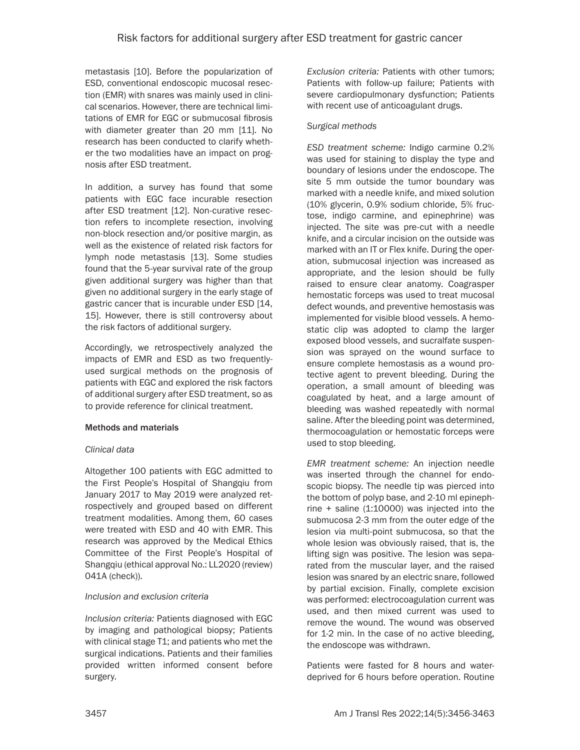metastasis [10]. Before the popularization of ESD, conventional endoscopic mucosal resection (EMR) with snares was mainly used in clinical scenarios. However, there are technical limitations of EMR for EGC or submucosal fibrosis with diameter greater than 20 mm [11]. No research has been conducted to clarify whether the two modalities have an impact on prognosis after ESD treatment.

In addition, a survey has found that some patients with EGC face incurable resection after ESD treatment [12]. Non-curative resection refers to incomplete resection, involving non-block resection and/or positive margin, as well as the existence of related risk factors for lymph node metastasis [13]. Some studies found that the 5-year survival rate of the group given additional surgery was higher than that given no additional surgery in the early stage of gastric cancer that is incurable under ESD [14, 15]. However, there is still controversy about the risk factors of additional surgery.

Accordingly, we retrospectively analyzed the impacts of EMR and ESD as two frequentlyused surgical methods on the prognosis of patients with EGC and explored the risk factors of additional surgery after ESD treatment, so as to provide reference for clinical treatment.

## Methods and materials

## *Clinical data*

Altogether 100 patients with EGC admitted to the First People's Hospital of Shangqiu from January 2017 to May 2019 were analyzed retrospectively and grouped based on different treatment modalities. Among them, 60 cases were treated with ESD and 40 with EMR. This research was approved by the Medical Ethics Committee of the First People's Hospital of Shangqiu (ethical approval No.: LL2020 (review) 041A (check)).

## *Inclusion and exclusion criteria*

*Inclusion criteria:* Patients diagnosed with EGC by imaging and pathological biopsy; Patients with clinical stage T1; and patients who met the surgical indications. Patients and their families provided written informed consent before surgery.

*Exclusion criteria:* Patients with other tumors; Patients with follow-up failure; Patients with severe cardiopulmonary dysfunction; Patients with recent use of anticoagulant drugs.

## *Surgical methods*

*ESD treatment scheme:* Indigo carmine 0.2% was used for staining to display the type and boundary of lesions under the endoscope. The site 5 mm outside the tumor boundary was marked with a needle knife, and mixed solution (10% glycerin, 0.9% sodium chloride, 5% fructose, indigo carmine, and epinephrine) was injected. The site was pre-cut with a needle knife, and a circular incision on the outside was marked with an IT or Flex knife. During the operation, submucosal injection was increased as appropriate, and the lesion should be fully raised to ensure clear anatomy. Coagrasper hemostatic forceps was used to treat mucosal defect wounds, and preventive hemostasis was implemented for visible blood vessels. A hemostatic clip was adopted to clamp the larger exposed blood vessels, and sucralfate suspension was sprayed on the wound surface to ensure complete hemostasis as a wound protective agent to prevent bleeding. During the operation, a small amount of bleeding was coagulated by heat, and a large amount of bleeding was washed repeatedly with normal saline. After the bleeding point was determined, thermocoagulation or hemostatic forceps were used to stop bleeding.

*EMR treatment scheme:* An injection needle was inserted through the channel for endoscopic biopsy. The needle tip was pierced into the bottom of polyp base, and 2-10 ml epinephrine + saline (1:10000) was injected into the submucosa 2-3 mm from the outer edge of the lesion via multi-point submucosa, so that the whole lesion was obviously raised, that is, the lifting sign was positive. The lesion was separated from the muscular layer, and the raised lesion was snared by an electric snare, followed by partial excision. Finally, complete excision was performed: electrocoagulation current was used, and then mixed current was used to remove the wound. The wound was observed for 1-2 min. In the case of no active bleeding, the endoscope was withdrawn.

Patients were fasted for 8 hours and waterdeprived for 6 hours before operation. Routine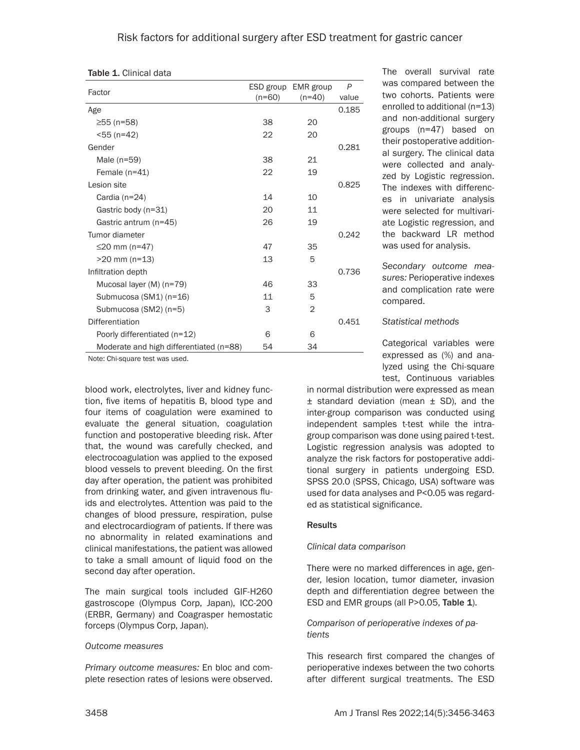| <b>Table 1. Clinical data</b> |  |  |
|-------------------------------|--|--|
|-------------------------------|--|--|

|                                         | ESD group | EMR group      | $\overline{P}$ |
|-----------------------------------------|-----------|----------------|----------------|
| Factor                                  | $(n=60)$  | $(n=40)$       | value          |
| Age                                     |           |                | 0.185          |
| ≥55 (n=58)                              | 38        | 20             |                |
| <55 (n=42)                              | 22        | 20             |                |
| Gender                                  |           |                | 0.281          |
| Male $(n=59)$                           | 38        | 21             |                |
| Female $(n=41)$                         | 22        | 19             |                |
| Lesion site                             |           |                | 0.825          |
| Cardia $(n=24)$                         | 14        | 10             |                |
| Gastric body (n=31)                     | 20        | 11             |                |
| Gastric antrum (n=45)                   | 26        | 19             |                |
| Tumor diameter                          |           |                | 0.242          |
| ≤20 mm (n=47)                           | 47        | 35             |                |
| $>20$ mm (n=13)                         | 13        | 5              |                |
| Infiltration depth                      |           |                | 0.736          |
| Mucosal layer (M) (n=79)                | 46        | 33             |                |
| Submucosa (SM1) (n=16)                  | 11        | 5              |                |
| Submucosa (SM2) (n=5)                   | 3         | $\overline{2}$ |                |
| Differentiation                         |           |                | 0.451          |
| Poorly differentiated (n=12)            | 6         | 6              |                |
| Moderate and high differentiated (n=88) | 54        | 34             |                |

Note: Chi-square test was used.

blood work, electrolytes, liver and kidney function, five items of hepatitis B, blood type and four items of coagulation were examined to evaluate the general situation, coagulation function and postoperative bleeding risk. After that, the wound was carefully checked, and electrocoagulation was applied to the exposed blood vessels to prevent bleeding. On the first day after operation, the patient was prohibited from drinking water, and given intravenous fluids and electrolytes. Attention was paid to the changes of blood pressure, respiration, pulse and electrocardiogram of patients. If there was no abnormality in related examinations and clinical manifestations, the patient was allowed to take a small amount of liquid food on the second day after operation.

The main surgical tools included GIF-H260 gastroscope (Olympus Corp, Japan), ICC-200 (ERBR, Germany) and Coagrasper hemostatic forceps (Olympus Corp, Japan).

#### *Outcome measures*

*Primary outcome measures:* En bloc and complete resection rates of lesions were observed.

The overall survival rate was compared between the two cohorts. Patients were enrolled to additional (n=13) and non-additional surgery groups (n=47) based on their postoperative additional surgery. The clinical data were collected and analyzed by Logistic regression. The indexes with differences in univariate analysis were selected for multivariate Logistic regression, and the backward LR method was used for analysis.

*Secondary outcome measures:* Perioperative indexes and complication rate were compared.

#### *Statistical methods*

Categorical variables were expressed as (%) and analyzed using the Chi-square test, Continuous variables

in normal distribution were expressed as mean  $±$  standard deviation (mean  $±$  SD), and the inter-group comparison was conducted using independent samples t-test while the intragroup comparison was done using paired t-test. Logistic regression analysis was adopted to analyze the risk factors for postoperative additional surgery in patients undergoing ESD. SPSS 20.0 (SPSS, Chicago, USA) software was used for data analyses and P<0.05 was regarded as statistical significance.

## **Results**

## *Clinical data comparison*

There were no marked differences in age, gender, lesion location, tumor diameter, invasion depth and differentiation degree between the ESD and EMR groups (all P>0.05, Table 1).

## *Comparison of perioperative indexes of patients*

This research first compared the changes of perioperative indexes between the two cohorts after different surgical treatments. The ESD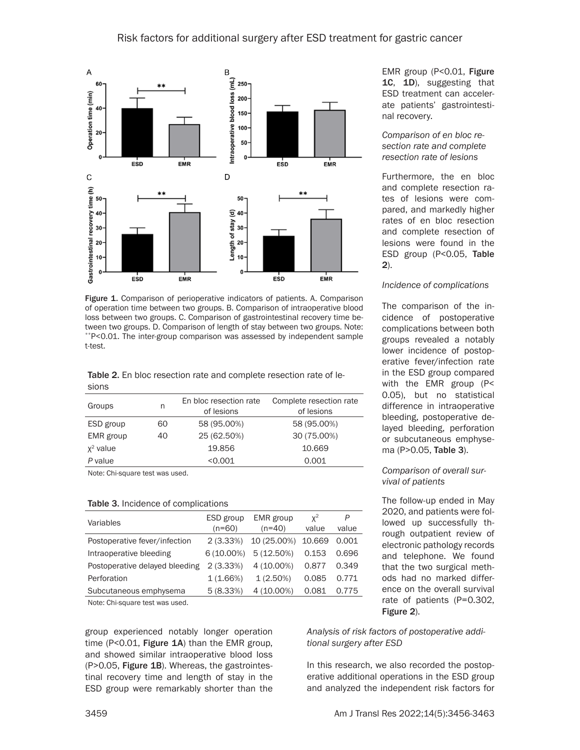

Figure 1. Comparison of perioperative indicators of patients. A. Comparison of operation time between two groups. B. Comparison of intraoperative blood loss between two groups. C. Comparison of gastrointestinal recovery time between two groups. D. Comparison of length of stay between two groups. Note: \*\*P<0.01. The inter-group comparison was assessed by independent sample t-test.

Table 2. En bloc resection rate and complete resection rate of lesions

| Groups      | n  | En bloc resection rate<br>of lesions | Complete resection rate<br>of lesions |
|-------------|----|--------------------------------------|---------------------------------------|
| ESD group   | 60 | 58 (95.00%)                          | 58 (95.00%)                           |
| EMR group   | 40 | 25 (62.50%)                          | 30 (75.00%)                           |
| $x^2$ value |    | 19.856                               | 10.669                                |
| P value     |    | < 0.001                              | 0.001                                 |

Note: Chi-square test was used.

#### Table 3. Incidence of complications

| Variables                      | ESD group    | EMR group   | $x^2$  | P     |
|--------------------------------|--------------|-------------|--------|-------|
|                                | $(n=60)$     | $(n=40)$    | value  | value |
| Postoperative fever/infection  | 2(3.33%)     | 10 (25.00%) | 10.669 | 0.001 |
| Intraoperative bleeding        | $6(10.00\%)$ | 5(12.50%)   | 0.153  | 0.696 |
| Postoperative delayed bleeding | 2(3.33%)     | 4 (10.00%)  | 0.877  | 0.349 |
| Perforation                    | 1(1.66%)     | $1(2.50\%)$ | 0.085  | 0.771 |
| Subcutaneous emphysema         | 5(8.33%)     | 4 (10.00%)  | 0.081  | 0.775 |
| $\cdots$                       |              |             |        |       |

Note: Chi-square test was used.

group experienced notably longer operation time (P<0.01, Figure  $1A$ ) than the EMR group, and showed similar intraoperative blood loss (P>0.05, Figure 1B). Whereas, the gastrointestinal recovery time and length of stay in the ESD group were remarkably shorter than the EMR group (P<0.01, Figure 1C, 1D), suggesting that ESD treatment can accelerate patients' gastrointestinal recovery.

*Comparison of en bloc resection rate and complete resection rate of lesions*

Furthermore, the en bloc and complete resection rates of lesions were compared, and markedly higher rates of en bloc resection and complete resection of lesions were found in the ESD group (P<0.05, Table 2).

#### *Incidence of complications*

The comparison of the incidence of postoperative complications between both groups revealed a notably lower incidence of postoperative fever/infection rate in the ESD group compared with the EMR group (P< 0.05), but no statistical difference in intraoperative bleeding, postoperative delayed bleeding, perforation or subcutaneous emphysema (P>0.05, Table 3).

#### *Comparison of overall survival of patients*

The follow-up ended in May 2020, and patients were followed up successfully through outpatient review of electronic pathology records and telephone. We found that the two surgical methods had no marked difference on the overall survival rate of patients (P=0.302, Figure 2).

*Analysis of risk factors of postoperative additional surgery after ESD*

In this research, we also recorded the postoperative additional operations in the ESD group and analyzed the independent risk factors for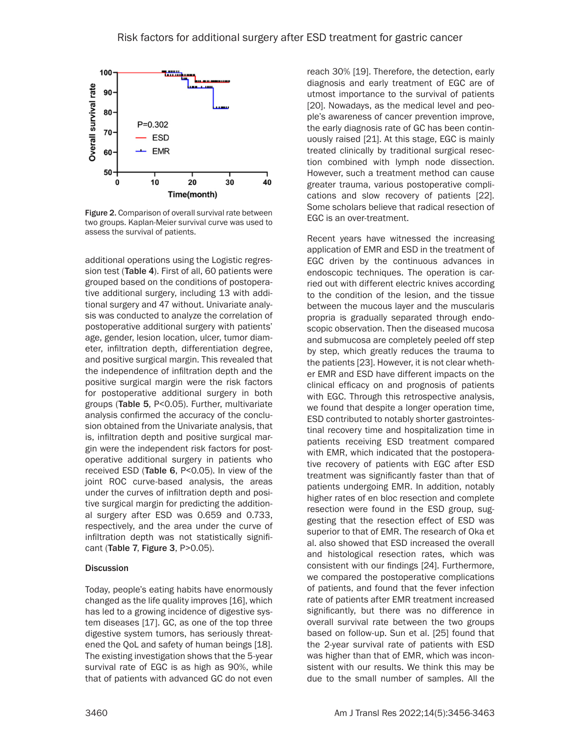

Figure 2. Comparison of overall survival rate between two groups. Kaplan-Meier survival curve was used to assess the survival of patients.

additional operations using the Logistic regression test (Table 4). First of all, 60 patients were grouped based on the conditions of postoperative additional surgery, including 13 with additional surgery and 47 without. Univariate analysis was conducted to analyze the correlation of postoperative additional surgery with patients' age, gender, lesion location, ulcer, tumor diameter, infiltration depth, differentiation degree, and positive surgical margin. This revealed that the independence of infiltration depth and the positive surgical margin were the risk factors for postoperative additional surgery in both groups (Table 5, P<0.05). Further, multivariate analysis confirmed the accuracy of the conclusion obtained from the Univariate analysis, that is, infiltration depth and positive surgical margin were the independent risk factors for postoperative additional surgery in patients who received ESD (Table 6, P<0.05). In view of the joint ROC curve-based analysis, the areas under the curves of infiltration depth and positive surgical margin for predicting the additional surgery after ESD was 0.659 and 0.733, respectively, and the area under the curve of infiltration depth was not statistically significant (Table 7, Figure 3, P>0.05).

## **Discussion**

Today, people's eating habits have enormously changed as the life quality improves [16], which has led to a growing incidence of digestive system diseases [17]. GC, as one of the top three digestive system tumors, has seriously threatened the QoL and safety of human beings [18]. The existing investigation shows that the 5-year survival rate of EGC is as high as 90%, while that of patients with advanced GC do not even reach 30% [19]. Therefore, the detection, early diagnosis and early treatment of EGC are of utmost importance to the survival of patients [20]. Nowadays, as the medical level and people's awareness of cancer prevention improve, the early diagnosis rate of GC has been continuously raised [21]. At this stage, EGC is mainly treated clinically by traditional surgical resection combined with lymph node dissection. However, such a treatment method can cause greater trauma, various postoperative complications and slow recovery of patients [22]. Some scholars believe that radical resection of EGC is an over-treatment.

Recent years have witnessed the increasing application of EMR and ESD in the treatment of EGC driven by the continuous advances in endoscopic techniques. The operation is carried out with different electric knives according to the condition of the lesion, and the tissue between the mucous layer and the muscularis propria is gradually separated through endoscopic observation. Then the diseased mucosa and submucosa are completely peeled off step by step, which greatly reduces the trauma to the patients [23]. However, it is not clear whether EMR and ESD have different impacts on the clinical efficacy on and prognosis of patients with EGC. Through this retrospective analysis, we found that despite a longer operation time, ESD contributed to notably shorter gastrointestinal recovery time and hospitalization time in patients receiving ESD treatment compared with EMR, which indicated that the postoperative recovery of patients with EGC after ESD treatment was significantly faster than that of patients undergoing EMR. In addition, notably higher rates of en bloc resection and complete resection were found in the ESD group, suggesting that the resection effect of ESD was superior to that of EMR. The research of Oka et al. also showed that ESD increased the overall and histological resection rates, which was consistent with our findings [24]. Furthermore, we compared the postoperative complications of patients, and found that the fever infection rate of patients after EMR treatment increased significantly, but there was no difference in overall survival rate between the two groups based on follow-up. Sun et al. [25] found that the 2-year survival rate of patients with ESD was higher than that of EMR, which was inconsistent with our results. We think this may be due to the small number of samples. All the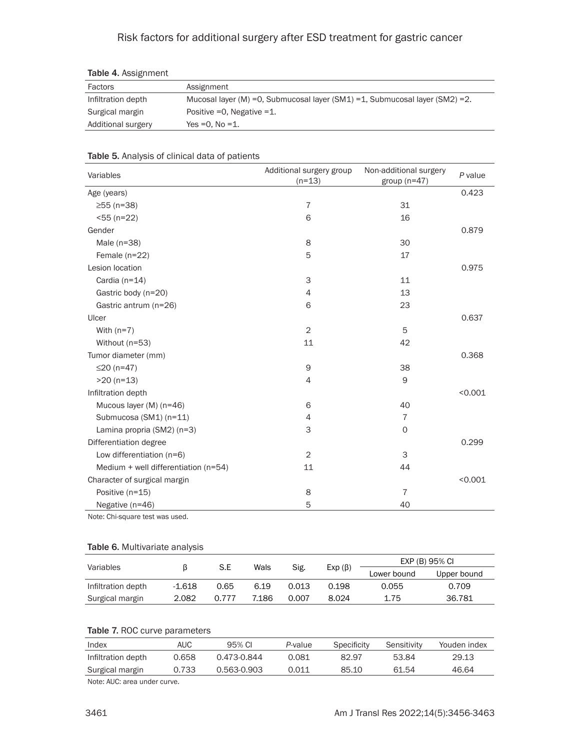## Risk factors for additional surgery after ESD treatment for gastric cancer

| <b>IGUIG T.</b> ASSIGNMENT |                                                                                |
|----------------------------|--------------------------------------------------------------------------------|
| Factors                    | Assignment                                                                     |
| Infiltration depth         | Mucosal layer (M) = 0, Submucosal layer (SM1) = 1, Submucosal layer (SM2) = 2. |
| Surgical margin            | Positive $=0$ , Negative $=1$ .                                                |
| Additional surgery         | Yes $=0.$ No $=1.$                                                             |

## Table 4. Assignment

## Table 5. Analysis of clinical data of patients

| Variables                            | Additional surgery group<br>$(n=13)$ | Non-additional surgery<br>group $(n=47)$ | P value |
|--------------------------------------|--------------------------------------|------------------------------------------|---------|
| Age (years)                          |                                      |                                          | 0.423   |
| $≥55$ (n=38)                         | $\overline{7}$                       | 31                                       |         |
| $55 (n=22)$                          | 6                                    | 16                                       |         |
| Gender                               |                                      |                                          | 0.879   |
| Male $(n=38)$                        | 8                                    | 30                                       |         |
| Female $(n=22)$                      | 5                                    | 17                                       |         |
| Lesion location                      |                                      |                                          | 0.975   |
| Cardia (n=14)                        | 3                                    | 11                                       |         |
| Gastric body (n=20)                  | 4                                    | 13                                       |         |
| Gastric antrum (n=26)                | 6                                    | 23                                       |         |
| Ulcer                                |                                      |                                          | 0.637   |
| With $(n=7)$                         | 2                                    | 5                                        |         |
| Without (n=53)                       | 11                                   | 42                                       |         |
| Tumor diameter (mm)                  |                                      |                                          | 0.368   |
| ≤20 $(n=47)$                         | 9                                    | 38                                       |         |
| $>20$ (n=13)                         | $\overline{4}$                       | 9                                        |         |
| Infiltration depth                   |                                      |                                          | < 0.001 |
| Mucous layer (M) (n=46)              | 6                                    | 40                                       |         |
| Submucosa (SM1) (n=11)               | $\overline{4}$                       | $\overline{7}$                           |         |
| Lamina propria (SM2) (n=3)           | 3                                    | $\mathbf 0$                              |         |
| Differentiation degree               |                                      |                                          | 0.299   |
| Low differentiation (n=6)            | 2                                    | 3                                        |         |
| Medium + well differentiation (n=54) | 11                                   | 44                                       |         |
| Character of surgical margin         |                                      |                                          | < 0.001 |
| Positive (n=15)                      | 8                                    | $\overline{7}$                           |         |
| Negative (n=46)                      | 5                                    | 40                                       |         |

Note: Chi-square test was used.

## Table 6. Multivariate analysis

|                    |        |       |       |       |              | EXP (B) 95% CI |             |
|--------------------|--------|-------|-------|-------|--------------|----------------|-------------|
| Variables          |        | S.E   | Wals  | Sig.  | $Exp(\beta)$ | Lower bound    | Upper bound |
| Infiltration depth | -1.618 | 0.65  | 6.19  | 0.013 | 0.198        | 0.055          | 0.709       |
| Surgical margin    | 2.082  | 0.777 | 7.186 | 0.007 | 8.024        | 1.75           | 36.781      |

## Table 7. ROC curve parameters

| Index              | AUC   | 95% CI      | P-value | Specificity | Sensitivity | Youden index |
|--------------------|-------|-------------|---------|-------------|-------------|--------------|
| Infiltration depth | 0.658 | 0.473-0.844 | 0.081   | 82.97       | 53.84       | 29.13        |
| Surgical margin    | 0.733 | 0.563-0.903 | 0.011   | 85.10       | 61.54       | 46.64        |

Note: AUC: area under curve.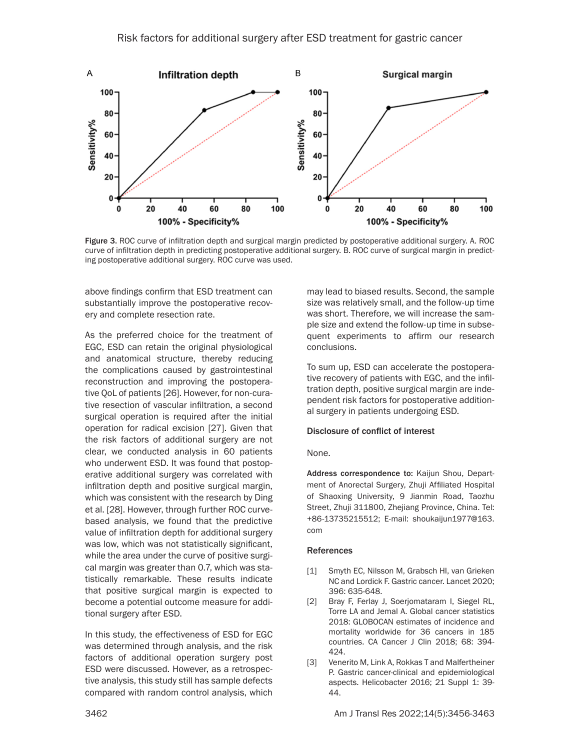

Figure 3. ROC curve of infiltration depth and surgical margin predicted by postoperative additional surgery. A. ROC curve of infiltration depth in predicting postoperative additional surgery. B. ROC curve of surgical margin in predicting postoperative additional surgery. ROC curve was used.

above findings confirm that ESD treatment can substantially improve the postoperative recovery and complete resection rate.

As the preferred choice for the treatment of EGC, ESD can retain the original physiological and anatomical structure, thereby reducing the complications caused by gastrointestinal reconstruction and improving the postoperative QoL of patients [26]. However, for non-curative resection of vascular infiltration, a second surgical operation is required after the initial operation for radical excision [27]. Given that the risk factors of additional surgery are not clear, we conducted analysis in 60 patients who underwent ESD. It was found that postoperative additional surgery was correlated with infiltration depth and positive surgical margin, which was consistent with the research by Ding et al. [28]. However, through further ROC curvebased analysis, we found that the predictive value of infiltration depth for additional surgery was low, which was not statistically significant, while the area under the curve of positive surgical margin was greater than 0.7, which was statistically remarkable. These results indicate that positive surgical margin is expected to become a potential outcome measure for additional surgery after ESD.

In this study, the effectiveness of ESD for EGC was determined through analysis, and the risk factors of additional operation surgery post ESD were discussed. However, as a retrospective analysis, this study still has sample defects compared with random control analysis, which

may lead to biased results. Second, the sample size was relatively small, and the follow-up time was short. Therefore, we will increase the sample size and extend the follow-up time in subsequent experiments to affirm our research conclusions.

To sum up, ESD can accelerate the postoperative recovery of patients with EGC, and the infiltration depth, positive surgical margin are independent risk factors for postoperative additional surgery in patients undergoing ESD.

#### Disclosure of conflict of interest

#### None.

Address correspondence to: Kaijun Shou, Department of Anorectal Surgery, Zhuji Affiliated Hospital of Shaoxing University, 9 Jianmin Road, Taozhu Street, Zhuji 311800, Zhejiang Province, China. Tel: +86-13735215512; E-mail: shoukaijun1977@163. com

#### References

- [1] Smyth EC, Nilsson M, Grabsch HI, van Grieken NC and Lordick F. Gastric cancer. Lancet 2020; 396: 635-648.
- [2] Bray F, Ferlay J, Soerjomataram I, Siegel RL, Torre LA and Jemal A. Global cancer statistics 2018: GLOBOCAN estimates of incidence and mortality worldwide for 36 cancers in 185 countries. CA Cancer J Clin 2018; 68: 394- 424.
- [3] Venerito M, Link A, Rokkas T and Malfertheiner P. Gastric cancer-clinical and epidemiological aspects. Helicobacter 2016; 21 Suppl 1: 39- 44.